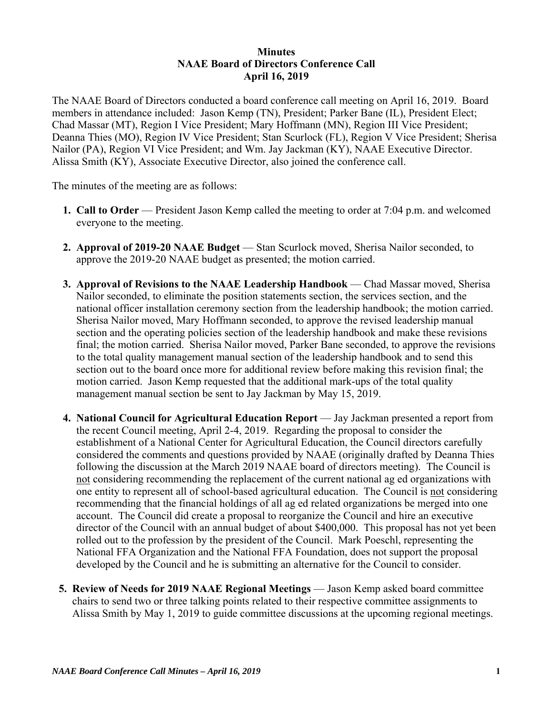## **Minutes NAAE Board of Directors Conference Call April 16, 2019**

The NAAE Board of Directors conducted a board conference call meeting on April 16, 2019. Board members in attendance included: Jason Kemp (TN), President; Parker Bane (IL), President Elect; Chad Massar (MT), Region I Vice President; Mary Hoffmann (MN), Region III Vice President; Deanna Thies (MO), Region IV Vice President; Stan Scurlock (FL), Region V Vice President; Sherisa Nailor (PA), Region VI Vice President; and Wm. Jay Jackman (KY), NAAE Executive Director. Alissa Smith (KY), Associate Executive Director, also joined the conference call.

The minutes of the meeting are as follows:

- **1. Call to Order** President Jason Kemp called the meeting to order at 7:04 p.m. and welcomed everyone to the meeting.
- **2. Approval of 2019-20 NAAE Budget Stan Scurlock moved, Sherisa Nailor seconded, to** approve the 2019-20 NAAE budget as presented; the motion carried.
- **3. Approval of Revisions to the NAAE Leadership Handbook Chad Massar moved, Sherisa** Nailor seconded, to eliminate the position statements section, the services section, and the national officer installation ceremony section from the leadership handbook; the motion carried. Sherisa Nailor moved, Mary Hoffmann seconded, to approve the revised leadership manual section and the operating policies section of the leadership handbook and make these revisions final; the motion carried. Sherisa Nailor moved, Parker Bane seconded, to approve the revisions to the total quality management manual section of the leadership handbook and to send this section out to the board once more for additional review before making this revision final; the motion carried. Jason Kemp requested that the additional mark-ups of the total quality management manual section be sent to Jay Jackman by May 15, 2019.
- **4. National Council for Agricultural Education Report** Jay Jackman presented a report from the recent Council meeting, April 2-4, 2019. Regarding the proposal to consider the establishment of a National Center for Agricultural Education, the Council directors carefully considered the comments and questions provided by NAAE (originally drafted by Deanna Thies following the discussion at the March 2019 NAAE board of directors meeting). The Council is not considering recommending the replacement of the current national ag ed organizations with one entity to represent all of school-based agricultural education. The Council is not considering recommending that the financial holdings of all ag ed related organizations be merged into one account. The Council did create a proposal to reorganize the Council and hire an executive director of the Council with an annual budget of about \$400,000. This proposal has not yet been rolled out to the profession by the president of the Council. Mark Poeschl, representing the National FFA Organization and the National FFA Foundation, does not support the proposal developed by the Council and he is submitting an alternative for the Council to consider.
- **5. Review of Needs for 2019 NAAE Regional Meetings**  Jason Kemp asked board committee chairs to send two or three talking points related to their respective committee assignments to Alissa Smith by May 1, 2019 to guide committee discussions at the upcoming regional meetings.